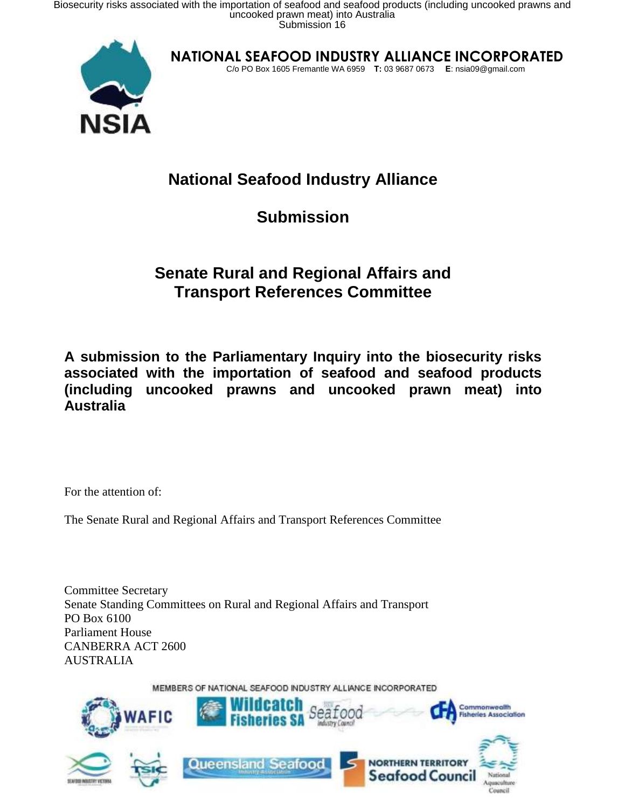

**NATIONAL SEAFOOD INDUSTRY ALLIANCE INCORPORATED**

C/o PO Box 1605 Fremantle WA 6959 T: 03 9687 0673 E: nsia09@gmail.com

## **National Seafood Industry Alliance**

### **Submission**

### **Senate Rural and Regional Affairs and Transport References Committee**

**A submission to the Parliamentary Inquiry into the biosecurity risks associated with the importation of seafood and seafood products (including uncooked prawns and uncooked prawn meat) into Australia**

For the attention of:

The Senate Rural and Regional Affairs and Transport References Committee

Committee Secretary Senate Standing Committees on Rural and Regional Affairs and Transport PO Box 6100 Parliament House CANBERRA ACT 2600 AUSTRALIA

MEMBERS OF NATIONAL SEAFOOD INDUSTRY ALLIANCE INCORPORATED

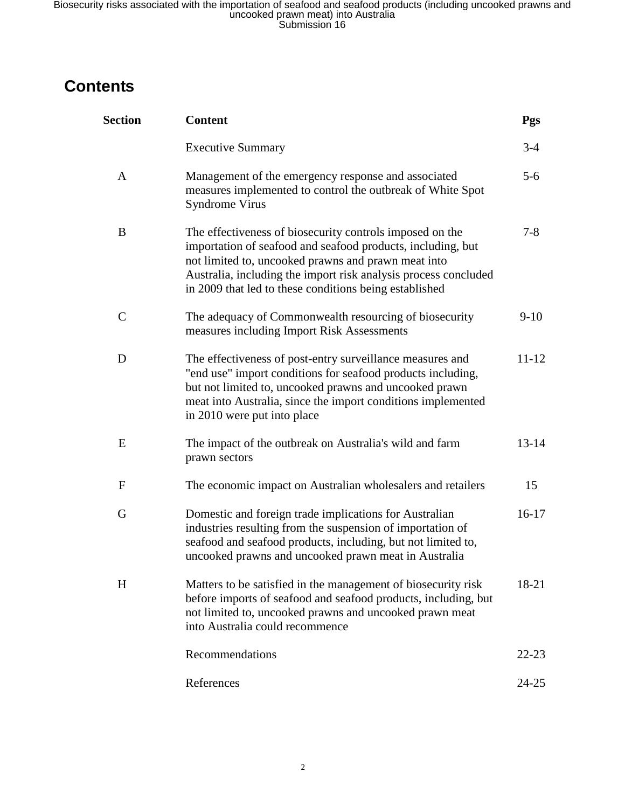## **Contents**

| <b>Section</b> | <b>Content</b>                                                                                                                                                                                                                                                                                              | Pgs       |
|----------------|-------------------------------------------------------------------------------------------------------------------------------------------------------------------------------------------------------------------------------------------------------------------------------------------------------------|-----------|
|                | <b>Executive Summary</b>                                                                                                                                                                                                                                                                                    | $3-4$     |
| A              | Management of the emergency response and associated<br>measures implemented to control the outbreak of White Spot<br><b>Syndrome Virus</b>                                                                                                                                                                  | $5-6$     |
| B              | The effectiveness of biosecurity controls imposed on the<br>importation of seafood and seafood products, including, but<br>not limited to, uncooked prawns and prawn meat into<br>Australia, including the import risk analysis process concluded<br>in 2009 that led to these conditions being established | $7 - 8$   |
| $\mathcal{C}$  | The adequacy of Commonwealth resourcing of biosecurity<br>measures including Import Risk Assessments                                                                                                                                                                                                        | $9-10$    |
| D              | The effectiveness of post-entry surveillance measures and<br>"end use" import conditions for seafood products including,<br>but not limited to, uncooked prawns and uncooked prawn<br>meat into Australia, since the import conditions implemented<br>in 2010 were put into place                           | $11 - 12$ |
| E              | The impact of the outbreak on Australia's wild and farm<br>prawn sectors                                                                                                                                                                                                                                    | $13 - 14$ |
| F              | The economic impact on Australian wholesalers and retailers                                                                                                                                                                                                                                                 | 15        |
| G              | Domestic and foreign trade implications for Australian<br>industries resulting from the suspension of importation of<br>seafood and seafood products, including, but not limited to,<br>uncooked prawns and uncooked prawn meat in Australia                                                                | $16-17$   |
| H              | Matters to be satisfied in the management of biosecurity risk<br>before imports of seafood and seafood products, including, but<br>not limited to, uncooked prawns and uncooked prawn meat<br>into Australia could recommence                                                                               | 18-21     |
|                | Recommendations                                                                                                                                                                                                                                                                                             | $22 - 23$ |
|                | References                                                                                                                                                                                                                                                                                                  | $24 - 25$ |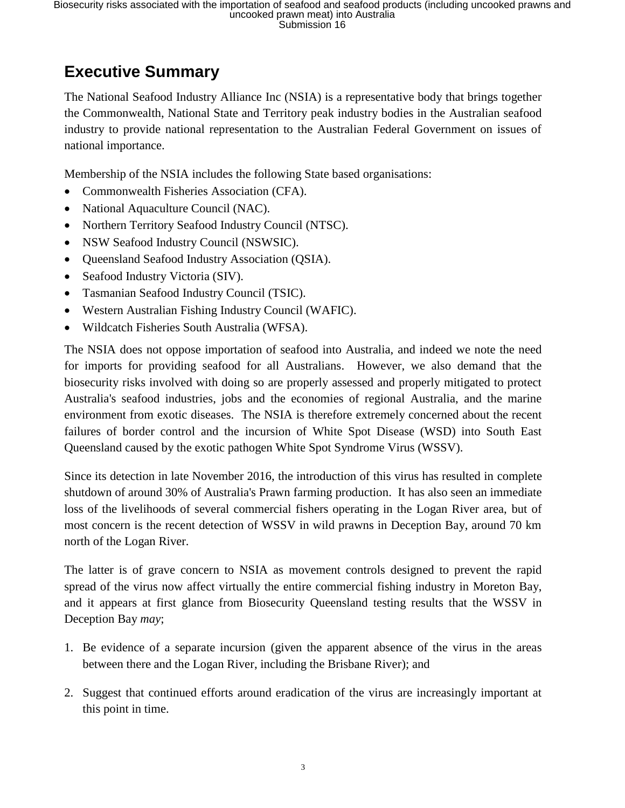## **Executive Summary**

The National Seafood Industry Alliance Inc (NSIA) is a representative body that brings together the Commonwealth, National State and Territory peak industry bodies in the Australian seafood industry to provide national representation to the Australian Federal Government on issues of national importance.

Membership of the NSIA includes the following State based organisations:

- Commonwealth Fisheries Association (CFA).
- National Aquaculture Council (NAC).
- Northern Territory Seafood Industry Council (NTSC).
- NSW Seafood Industry Council (NSWSIC).
- Queensland Seafood Industry Association (QSIA).
- Seafood Industry Victoria (SIV).
- Tasmanian Seafood Industry Council (TSIC).
- Western Australian Fishing Industry Council (WAFIC).
- Wildcatch Fisheries South Australia (WFSA).

The NSIA does not oppose importation of seafood into Australia, and indeed we note the need for imports for providing seafood for all Australians. However, we also demand that the biosecurity risks involved with doing so are properly assessed and properly mitigated to protect Australia's seafood industries, jobs and the economies of regional Australia, and the marine environment from exotic diseases. The NSIA is therefore extremely concerned about the recent failures of border control and the incursion of White Spot Disease (WSD) into South East Queensland caused by the exotic pathogen White Spot Syndrome Virus (WSSV).

Since its detection in late November 2016, the introduction of this virus has resulted in complete shutdown of around 30% of Australia's Prawn farming production. It has also seen an immediate loss of the livelihoods of several commercial fishers operating in the Logan River area, but of most concern is the recent detection of WSSV in wild prawns in Deception Bay, around 70 km north of the Logan River.

The latter is of grave concern to NSIA as movement controls designed to prevent the rapid spread of the virus now affect virtually the entire commercial fishing industry in Moreton Bay, and it appears at first glance from Biosecurity Queensland testing results that the WSSV in Deception Bay *may*;

- 1. Be evidence of a separate incursion (given the apparent absence of the virus in the areas between there and the Logan River, including the Brisbane River); and
- 2. Suggest that continued efforts around eradication of the virus are increasingly important at this point in time.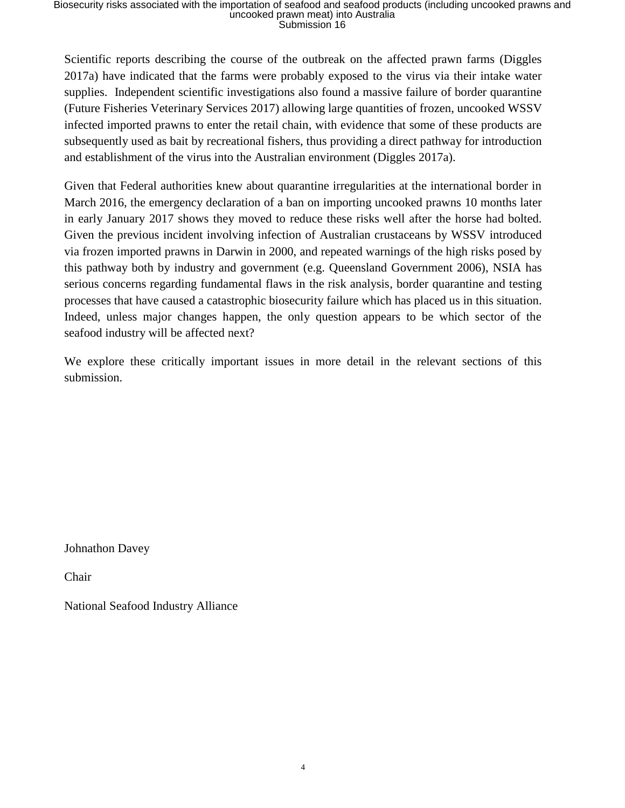Scientific reports describing the course of the outbreak on the affected prawn farms (Diggles 2017a) have indicated that the farms were probably exposed to the virus via their intake water supplies. Independent scientific investigations also found a massive failure of border quarantine (Future Fisheries Veterinary Services 2017) allowing large quantities of frozen, uncooked WSSV infected imported prawns to enter the retail chain, with evidence that some of these products are subsequently used as bait by recreational fishers, thus providing a direct pathway for introduction and establishment of the virus into the Australian environment (Diggles 2017a).

Given that Federal authorities knew about quarantine irregularities at the international border in March 2016, the emergency declaration of a ban on importing uncooked prawns 10 months later in early January 2017 shows they moved to reduce these risks well after the horse had bolted. Given the previous incident involving infection of Australian crustaceans by WSSV introduced via frozen imported prawns in Darwin in 2000, and repeated warnings of the high risks posed by this pathway both by industry and government (e.g. Queensland Government 2006), NSIA has serious concerns regarding fundamental flaws in the risk analysis, border quarantine and testing processes that have caused a catastrophic biosecurity failure which has placed us in this situation. Indeed, unless major changes happen, the only question appears to be which sector of the seafood industry will be affected next?

We explore these critically important issues in more detail in the relevant sections of this submission.

Johnathon Davey

Chair

National Seafood Industry Alliance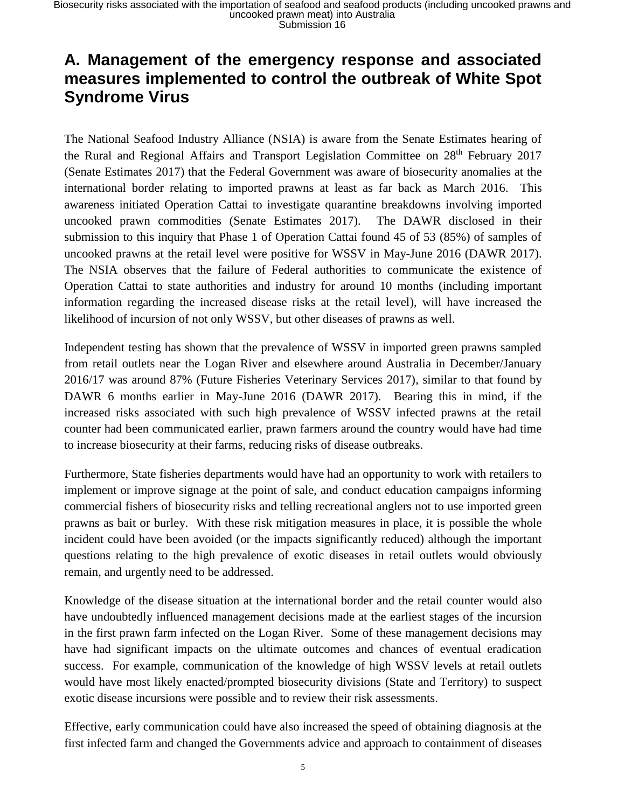### **A. Management of the emergency response and associated measures implemented to control the outbreak of White Spot Syndrome Virus**

The National Seafood Industry Alliance (NSIA) is aware from the Senate Estimates hearing of the Rural and Regional Affairs and Transport Legislation Committee on 28<sup>th</sup> February 2017 (Senate Estimates 2017) that the Federal Government was aware of biosecurity anomalies at the international border relating to imported prawns at least as far back as March 2016. This awareness initiated Operation Cattai to investigate quarantine breakdowns involving imported uncooked prawn commodities (Senate Estimates 2017). The DAWR disclosed in their submission to this inquiry that Phase 1 of Operation Cattai found 45 of 53 (85%) of samples of uncooked prawns at the retail level were positive for WSSV in May-June 2016 (DAWR 2017). The NSIA observes that the failure of Federal authorities to communicate the existence of Operation Cattai to state authorities and industry for around 10 months (including important information regarding the increased disease risks at the retail level), will have increased the likelihood of incursion of not only WSSV, but other diseases of prawns as well.

Independent testing has shown that the prevalence of WSSV in imported green prawns sampled from retail outlets near the Logan River and elsewhere around Australia in December/January 2016/17 was around 87% (Future Fisheries Veterinary Services 2017), similar to that found by DAWR 6 months earlier in May-June 2016 (DAWR 2017). Bearing this in mind, if the increased risks associated with such high prevalence of WSSV infected prawns at the retail counter had been communicated earlier, prawn farmers around the country would have had time to increase biosecurity at their farms, reducing risks of disease outbreaks.

Furthermore, State fisheries departments would have had an opportunity to work with retailers to implement or improve signage at the point of sale, and conduct education campaigns informing commercial fishers of biosecurity risks and telling recreational anglers not to use imported green prawns as bait or burley. With these risk mitigation measures in place, it is possible the whole incident could have been avoided (or the impacts significantly reduced) although the important questions relating to the high prevalence of exotic diseases in retail outlets would obviously remain, and urgently need to be addressed.

Knowledge of the disease situation at the international border and the retail counter would also have undoubtedly influenced management decisions made at the earliest stages of the incursion in the first prawn farm infected on the Logan River. Some of these management decisions may have had significant impacts on the ultimate outcomes and chances of eventual eradication success. For example, communication of the knowledge of high WSSV levels at retail outlets would have most likely enacted/prompted biosecurity divisions (State and Territory) to suspect exotic disease incursions were possible and to review their risk assessments.

Effective, early communication could have also increased the speed of obtaining diagnosis at the first infected farm and changed the Governments advice and approach to containment of diseases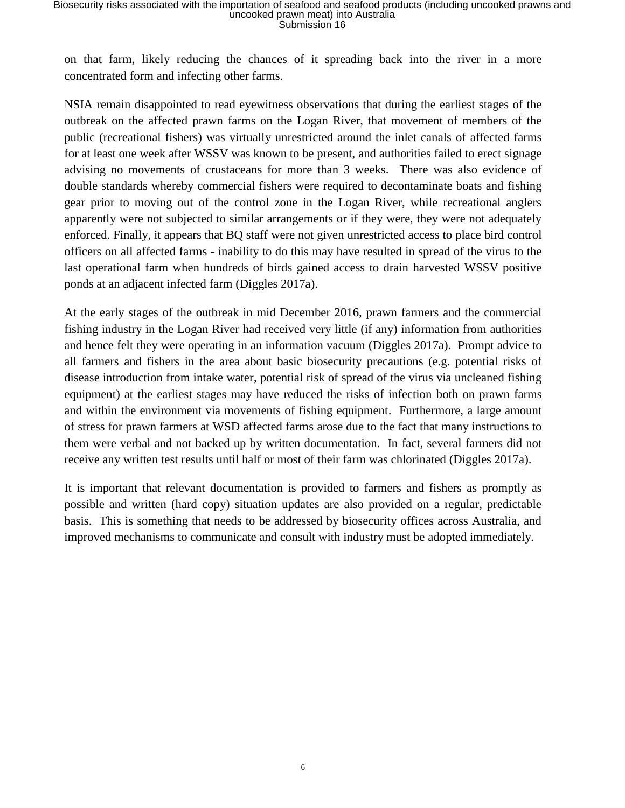on that farm, likely reducing the chances of it spreading back into the river in a more concentrated form and infecting other farms.

NSIA remain disappointed to read eyewitness observations that during the earliest stages of the outbreak on the affected prawn farms on the Logan River, that movement of members of the public (recreational fishers) was virtually unrestricted around the inlet canals of affected farms for at least one week after WSSV was known to be present, and authorities failed to erect signage advising no movements of crustaceans for more than 3 weeks. There was also evidence of double standards whereby commercial fishers were required to decontaminate boats and fishing gear prior to moving out of the control zone in the Logan River, while recreational anglers apparently were not subjected to similar arrangements or if they were, they were not adequately enforced. Finally, it appears that BQ staff were not given unrestricted access to place bird control officers on all affected farms - inability to do this may have resulted in spread of the virus to the last operational farm when hundreds of birds gained access to drain harvested WSSV positive ponds at an adjacent infected farm (Diggles 2017a).

At the early stages of the outbreak in mid December 2016, prawn farmers and the commercial fishing industry in the Logan River had received very little (if any) information from authorities and hence felt they were operating in an information vacuum (Diggles 2017a). Prompt advice to all farmers and fishers in the area about basic biosecurity precautions (e.g. potential risks of disease introduction from intake water, potential risk of spread of the virus via uncleaned fishing equipment) at the earliest stages may have reduced the risks of infection both on prawn farms and within the environment via movements of fishing equipment. Furthermore, a large amount of stress for prawn farmers at WSD affected farms arose due to the fact that many instructions to them were verbal and not backed up by written documentation. In fact, several farmers did not receive any written test results until half or most of their farm was chlorinated (Diggles 2017a).

It is important that relevant documentation is provided to farmers and fishers as promptly as possible and written (hard copy) situation updates are also provided on a regular, predictable basis. This is something that needs to be addressed by biosecurity offices across Australia, and improved mechanisms to communicate and consult with industry must be adopted immediately.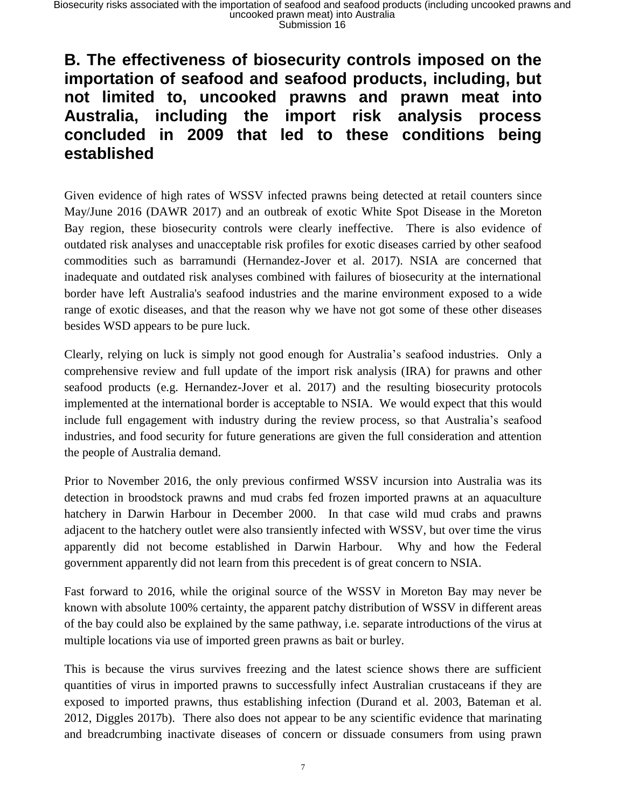### **B. The effectiveness of biosecurity controls imposed on the importation of seafood and seafood products, including, but not limited to, uncooked prawns and prawn meat into Australia, including the import risk analysis process concluded in 2009 that led to these conditions being established**

Given evidence of high rates of WSSV infected prawns being detected at retail counters since May/June 2016 (DAWR 2017) and an outbreak of exotic White Spot Disease in the Moreton Bay region, these biosecurity controls were clearly ineffective. There is also evidence of outdated risk analyses and unacceptable risk profiles for exotic diseases carried by other seafood commodities such as barramundi (Hernandez-Jover et al. 2017). NSIA are concerned that inadequate and outdated risk analyses combined with failures of biosecurity at the international border have left Australia's seafood industries and the marine environment exposed to a wide range of exotic diseases, and that the reason why we have not got some of these other diseases besides WSD appears to be pure luck.

Clearly, relying on luck is simply not good enough for Australia's seafood industries. Only a comprehensive review and full update of the import risk analysis (IRA) for prawns and other seafood products (e.g. Hernandez-Jover et al. 2017) and the resulting biosecurity protocols implemented at the international border is acceptable to NSIA. We would expect that this would include full engagement with industry during the review process, so that Australia's seafood industries, and food security for future generations are given the full consideration and attention the people of Australia demand.

Prior to November 2016, the only previous confirmed WSSV incursion into Australia was its detection in broodstock prawns and mud crabs fed frozen imported prawns at an aquaculture hatchery in Darwin Harbour in December 2000. In that case wild mud crabs and prawns adjacent to the hatchery outlet were also transiently infected with WSSV, but over time the virus apparently did not become established in Darwin Harbour. Why and how the Federal government apparently did not learn from this precedent is of great concern to NSIA.

Fast forward to 2016, while the original source of the WSSV in Moreton Bay may never be known with absolute 100% certainty, the apparent patchy distribution of WSSV in different areas of the bay could also be explained by the same pathway, i.e. separate introductions of the virus at multiple locations via use of imported green prawns as bait or burley.

This is because the virus survives freezing and the latest science shows there are sufficient quantities of virus in imported prawns to successfully infect Australian crustaceans if they are exposed to imported prawns, thus establishing infection (Durand et al. 2003, Bateman et al. 2012, Diggles 2017b). There also does not appear to be any scientific evidence that marinating and breadcrumbing inactivate diseases of concern or dissuade consumers from using prawn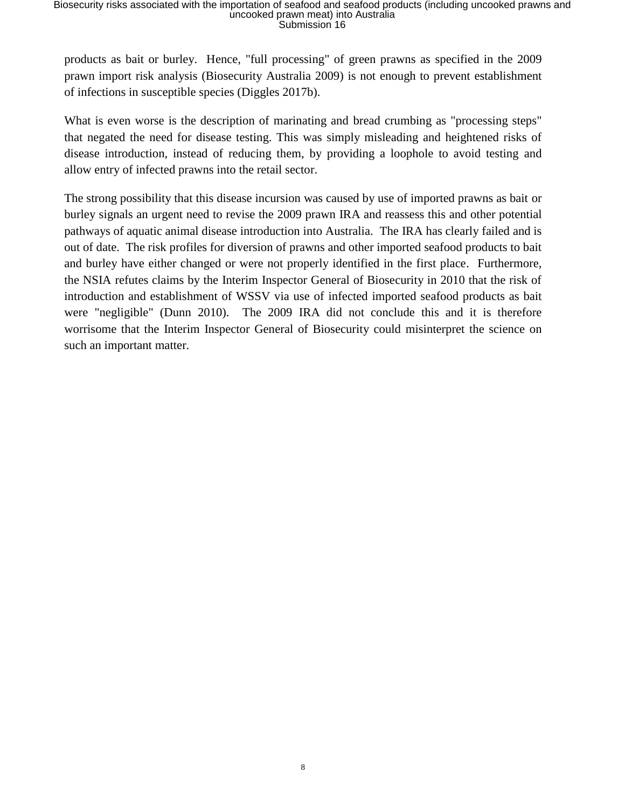products as bait or burley. Hence, "full processing" of green prawns as specified in the 2009 prawn import risk analysis (Biosecurity Australia 2009) is not enough to prevent establishment of infections in susceptible species (Diggles 2017b).

What is even worse is the description of marinating and bread crumbing as "processing steps" that negated the need for disease testing. This was simply misleading and heightened risks of disease introduction, instead of reducing them, by providing a loophole to avoid testing and allow entry of infected prawns into the retail sector.

The strong possibility that this disease incursion was caused by use of imported prawns as bait or burley signals an urgent need to revise the 2009 prawn IRA and reassess this and other potential pathways of aquatic animal disease introduction into Australia. The IRA has clearly failed and is out of date. The risk profiles for diversion of prawns and other imported seafood products to bait and burley have either changed or were not properly identified in the first place. Furthermore, the NSIA refutes claims by the Interim Inspector General of Biosecurity in 2010 that the risk of introduction and establishment of WSSV via use of infected imported seafood products as bait were "negligible" (Dunn 2010). The 2009 IRA did not conclude this and it is therefore worrisome that the Interim Inspector General of Biosecurity could misinterpret the science on such an important matter.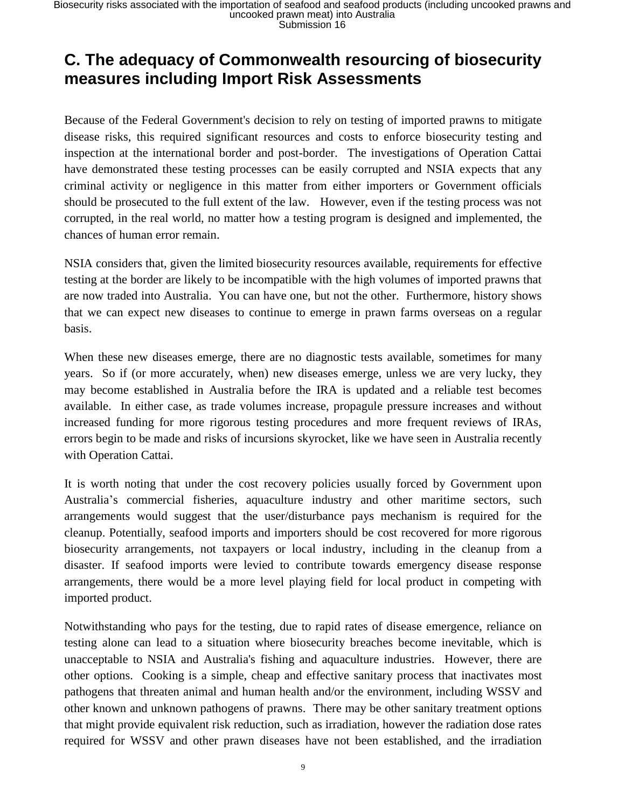## **C. The adequacy of Commonwealth resourcing of biosecurity measures including Import Risk Assessments**

Because of the Federal Government's decision to rely on testing of imported prawns to mitigate disease risks, this required significant resources and costs to enforce biosecurity testing and inspection at the international border and post-border. The investigations of Operation Cattai have demonstrated these testing processes can be easily corrupted and NSIA expects that any criminal activity or negligence in this matter from either importers or Government officials should be prosecuted to the full extent of the law. However, even if the testing process was not corrupted, in the real world, no matter how a testing program is designed and implemented, the chances of human error remain.

NSIA considers that, given the limited biosecurity resources available, requirements for effective testing at the border are likely to be incompatible with the high volumes of imported prawns that are now traded into Australia. You can have one, but not the other. Furthermore, history shows that we can expect new diseases to continue to emerge in prawn farms overseas on a regular basis.

When these new diseases emerge, there are no diagnostic tests available, sometimes for many years. So if (or more accurately, when) new diseases emerge, unless we are very lucky, they may become established in Australia before the IRA is updated and a reliable test becomes available. In either case, as trade volumes increase, propagule pressure increases and without increased funding for more rigorous testing procedures and more frequent reviews of IRAs, errors begin to be made and risks of incursions skyrocket, like we have seen in Australia recently with Operation Cattai.

It is worth noting that under the cost recovery policies usually forced by Government upon Australia's commercial fisheries, aquaculture industry and other maritime sectors, such arrangements would suggest that the user/disturbance pays mechanism is required for the cleanup. Potentially, seafood imports and importers should be cost recovered for more rigorous biosecurity arrangements, not taxpayers or local industry, including in the cleanup from a disaster. If seafood imports were levied to contribute towards emergency disease response arrangements, there would be a more level playing field for local product in competing with imported product.

Notwithstanding who pays for the testing, due to rapid rates of disease emergence, reliance on testing alone can lead to a situation where biosecurity breaches become inevitable, which is unacceptable to NSIA and Australia's fishing and aquaculture industries. However, there are other options. Cooking is a simple, cheap and effective sanitary process that inactivates most pathogens that threaten animal and human health and/or the environment, including WSSV and other known and unknown pathogens of prawns. There may be other sanitary treatment options that might provide equivalent risk reduction, such as irradiation, however the radiation dose rates required for WSSV and other prawn diseases have not been established, and the irradiation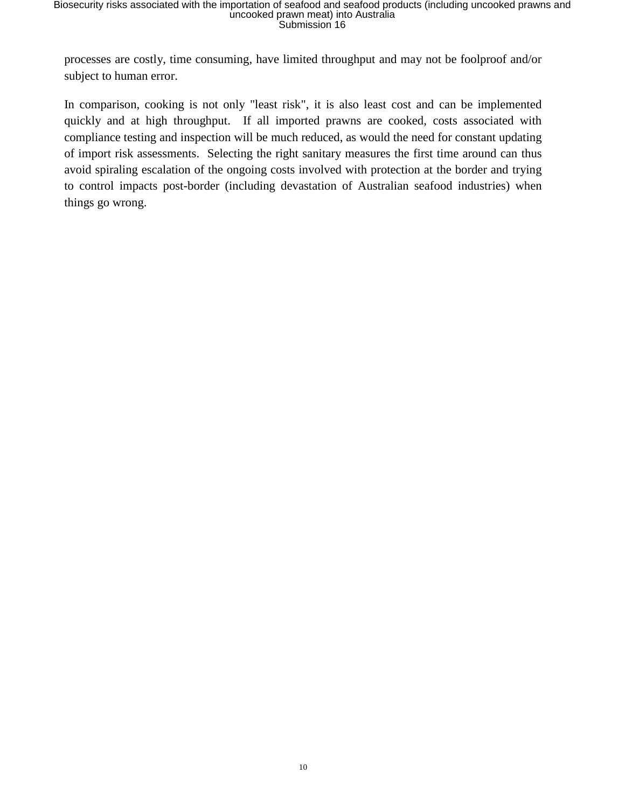processes are costly, time consuming, have limited throughput and may not be foolproof and/or subject to human error.

In comparison, cooking is not only "least risk", it is also least cost and can be implemented quickly and at high throughput. If all imported prawns are cooked, costs associated with compliance testing and inspection will be much reduced, as would the need for constant updating of import risk assessments. Selecting the right sanitary measures the first time around can thus avoid spiraling escalation of the ongoing costs involved with protection at the border and trying to control impacts post-border (including devastation of Australian seafood industries) when things go wrong.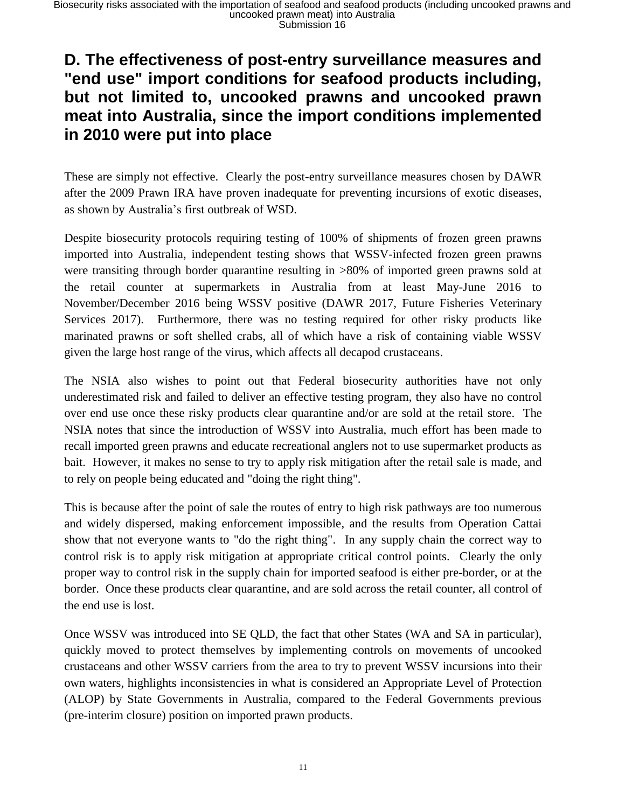### **D. The effectiveness of post-entry surveillance measures and "end use" import conditions for seafood products including, but not limited to, uncooked prawns and uncooked prawn meat into Australia, since the import conditions implemented in 2010 were put into place**

These are simply not effective. Clearly the post-entry surveillance measures chosen by DAWR after the 2009 Prawn IRA have proven inadequate for preventing incursions of exotic diseases, as shown by Australia's first outbreak of WSD.

Despite biosecurity protocols requiring testing of 100% of shipments of frozen green prawns imported into Australia, independent testing shows that WSSV-infected frozen green prawns were transiting through border quarantine resulting in >80% of imported green prawns sold at the retail counter at supermarkets in Australia from at least May-June 2016 to November/December 2016 being WSSV positive (DAWR 2017, Future Fisheries Veterinary Services 2017). Furthermore, there was no testing required for other risky products like marinated prawns or soft shelled crabs, all of which have a risk of containing viable WSSV given the large host range of the virus, which affects all decapod crustaceans.

The NSIA also wishes to point out that Federal biosecurity authorities have not only underestimated risk and failed to deliver an effective testing program, they also have no control over end use once these risky products clear quarantine and/or are sold at the retail store. The NSIA notes that since the introduction of WSSV into Australia, much effort has been made to recall imported green prawns and educate recreational anglers not to use supermarket products as bait. However, it makes no sense to try to apply risk mitigation after the retail sale is made, and to rely on people being educated and "doing the right thing".

This is because after the point of sale the routes of entry to high risk pathways are too numerous and widely dispersed, making enforcement impossible, and the results from Operation Cattai show that not everyone wants to "do the right thing". In any supply chain the correct way to control risk is to apply risk mitigation at appropriate critical control points. Clearly the only proper way to control risk in the supply chain for imported seafood is either pre-border, or at the border. Once these products clear quarantine, and are sold across the retail counter, all control of the end use is lost.

Once WSSV was introduced into SE QLD, the fact that other States (WA and SA in particular), quickly moved to protect themselves by implementing controls on movements of uncooked crustaceans and other WSSV carriers from the area to try to prevent WSSV incursions into their own waters, highlights inconsistencies in what is considered an Appropriate Level of Protection (ALOP) by State Governments in Australia, compared to the Federal Governments previous (pre-interim closure) position on imported prawn products.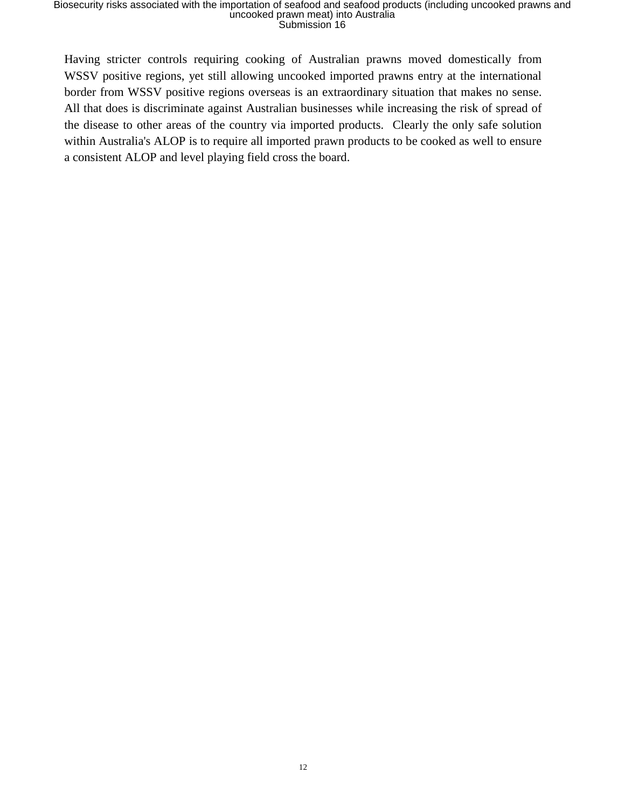Having stricter controls requiring cooking of Australian prawns moved domestically from WSSV positive regions, yet still allowing uncooked imported prawns entry at the international border from WSSV positive regions overseas is an extraordinary situation that makes no sense. All that does is discriminate against Australian businesses while increasing the risk of spread of the disease to other areas of the country via imported products. Clearly the only safe solution within Australia's ALOP is to require all imported prawn products to be cooked as well to ensure a consistent ALOP and level playing field cross the board.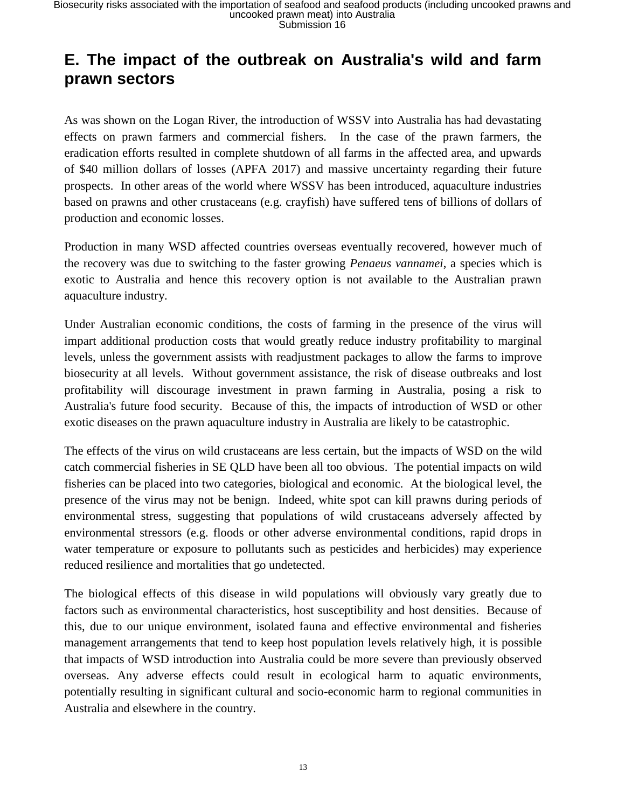## **E. The impact of the outbreak on Australia's wild and farm prawn sectors**

As was shown on the Logan River, the introduction of WSSV into Australia has had devastating effects on prawn farmers and commercial fishers. In the case of the prawn farmers, the eradication efforts resulted in complete shutdown of all farms in the affected area, and upwards of \$40 million dollars of losses (APFA 2017) and massive uncertainty regarding their future prospects. In other areas of the world where WSSV has been introduced, aquaculture industries based on prawns and other crustaceans (e.g. crayfish) have suffered tens of billions of dollars of production and economic losses.

Production in many WSD affected countries overseas eventually recovered, however much of the recovery was due to switching to the faster growing *Penaeus vannamei*, a species which is exotic to Australia and hence this recovery option is not available to the Australian prawn aquaculture industry.

Under Australian economic conditions, the costs of farming in the presence of the virus will impart additional production costs that would greatly reduce industry profitability to marginal levels, unless the government assists with readjustment packages to allow the farms to improve biosecurity at all levels. Without government assistance, the risk of disease outbreaks and lost profitability will discourage investment in prawn farming in Australia, posing a risk to Australia's future food security. Because of this, the impacts of introduction of WSD or other exotic diseases on the prawn aquaculture industry in Australia are likely to be catastrophic.

The effects of the virus on wild crustaceans are less certain, but the impacts of WSD on the wild catch commercial fisheries in SE QLD have been all too obvious. The potential impacts on wild fisheries can be placed into two categories, biological and economic. At the biological level, the presence of the virus may not be benign. Indeed, white spot can kill prawns during periods of environmental stress, suggesting that populations of wild crustaceans adversely affected by environmental stressors (e.g. floods or other adverse environmental conditions, rapid drops in water temperature or exposure to pollutants such as pesticides and herbicides) may experience reduced resilience and mortalities that go undetected.

The biological effects of this disease in wild populations will obviously vary greatly due to factors such as environmental characteristics, host susceptibility and host densities. Because of this, due to our unique environment, isolated fauna and effective environmental and fisheries management arrangements that tend to keep host population levels relatively high, it is possible that impacts of WSD introduction into Australia could be more severe than previously observed overseas. Any adverse effects could result in ecological harm to aquatic environments, potentially resulting in significant cultural and socio-economic harm to regional communities in Australia and elsewhere in the country.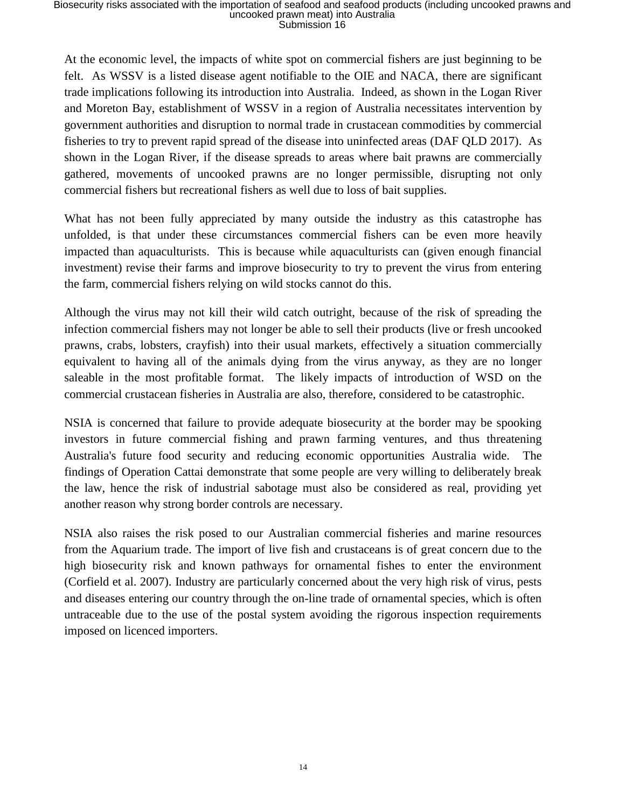At the economic level, the impacts of white spot on commercial fishers are just beginning to be felt. As WSSV is a listed disease agent notifiable to the OIE and NACA, there are significant trade implications following its introduction into Australia. Indeed, as shown in the Logan River and Moreton Bay, establishment of WSSV in a region of Australia necessitates intervention by government authorities and disruption to normal trade in crustacean commodities by commercial fisheries to try to prevent rapid spread of the disease into uninfected areas (DAF QLD 2017). As shown in the Logan River, if the disease spreads to areas where bait prawns are commercially gathered, movements of uncooked prawns are no longer permissible, disrupting not only commercial fishers but recreational fishers as well due to loss of bait supplies.

What has not been fully appreciated by many outside the industry as this catastrophe has unfolded, is that under these circumstances commercial fishers can be even more heavily impacted than aquaculturists. This is because while aquaculturists can (given enough financial investment) revise their farms and improve biosecurity to try to prevent the virus from entering the farm, commercial fishers relying on wild stocks cannot do this.

Although the virus may not kill their wild catch outright, because of the risk of spreading the infection commercial fishers may not longer be able to sell their products (live or fresh uncooked prawns, crabs, lobsters, crayfish) into their usual markets, effectively a situation commercially equivalent to having all of the animals dying from the virus anyway, as they are no longer saleable in the most profitable format. The likely impacts of introduction of WSD on the commercial crustacean fisheries in Australia are also, therefore, considered to be catastrophic.

NSIA is concerned that failure to provide adequate biosecurity at the border may be spooking investors in future commercial fishing and prawn farming ventures, and thus threatening Australia's future food security and reducing economic opportunities Australia wide. The findings of Operation Cattai demonstrate that some people are very willing to deliberately break the law, hence the risk of industrial sabotage must also be considered as real, providing yet another reason why strong border controls are necessary.

NSIA also raises the risk posed to our Australian commercial fisheries and marine resources from the Aquarium trade. The import of live fish and crustaceans is of great concern due to the high biosecurity risk and known pathways for ornamental fishes to enter the environment (Corfield et al. 2007). Industry are particularly concerned about the very high risk of virus, pests and diseases entering our country through the on-line trade of ornamental species, which is often untraceable due to the use of the postal system avoiding the rigorous inspection requirements imposed on licenced importers.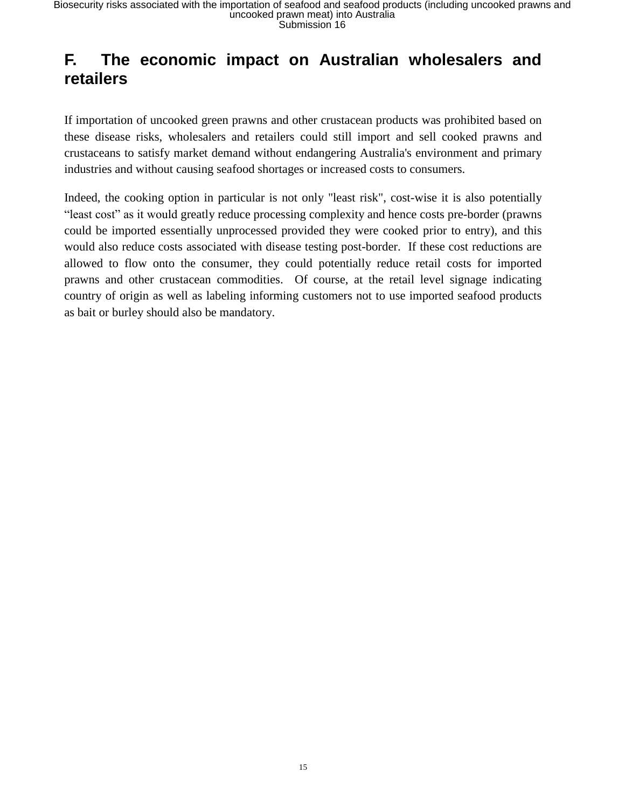## **F. The economic impact on Australian wholesalers and retailers**

If importation of uncooked green prawns and other crustacean products was prohibited based on these disease risks, wholesalers and retailers could still import and sell cooked prawns and crustaceans to satisfy market demand without endangering Australia's environment and primary industries and without causing seafood shortages or increased costs to consumers.

Indeed, the cooking option in particular is not only "least risk", cost-wise it is also potentially "least cost" as it would greatly reduce processing complexity and hence costs pre-border (prawns could be imported essentially unprocessed provided they were cooked prior to entry), and this would also reduce costs associated with disease testing post-border. If these cost reductions are allowed to flow onto the consumer, they could potentially reduce retail costs for imported prawns and other crustacean commodities. Of course, at the retail level signage indicating country of origin as well as labeling informing customers not to use imported seafood products as bait or burley should also be mandatory.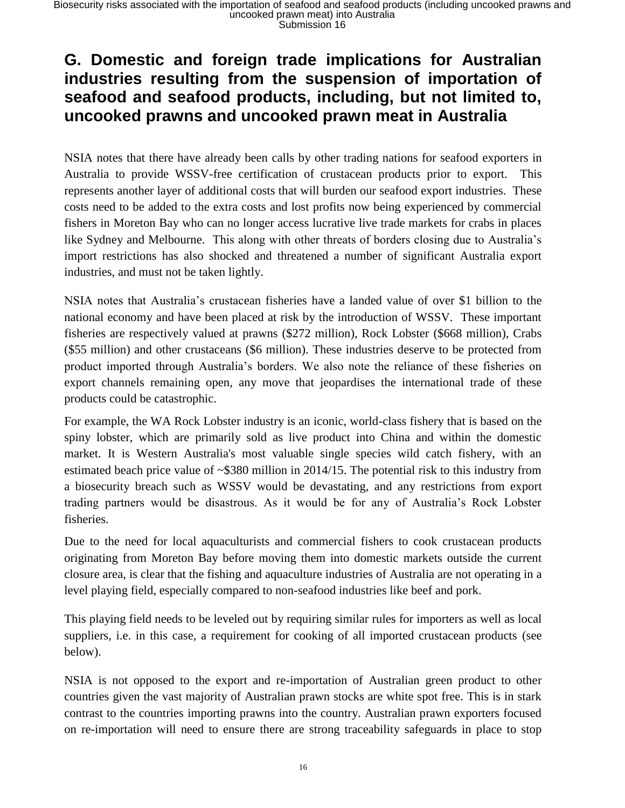### **G. Domestic and foreign trade implications for Australian industries resulting from the suspension of importation of seafood and seafood products, including, but not limited to, uncooked prawns and uncooked prawn meat in Australia**

NSIA notes that there have already been calls by other trading nations for seafood exporters in Australia to provide WSSV-free certification of crustacean products prior to export. This represents another layer of additional costs that will burden our seafood export industries. These costs need to be added to the extra costs and lost profits now being experienced by commercial fishers in Moreton Bay who can no longer access lucrative live trade markets for crabs in places like Sydney and Melbourne. This along with other threats of borders closing due to Australia's import restrictions has also shocked and threatened a number of significant Australia export industries, and must not be taken lightly.

NSIA notes that Australia's crustacean fisheries have a landed value of over \$1 billion to the national economy and have been placed at risk by the introduction of WSSV. These important fisheries are respectively valued at prawns (\$272 million), Rock Lobster (\$668 million), Crabs (\$55 million) and other crustaceans (\$6 million). These industries deserve to be protected from product imported through Australia's borders. We also note the reliance of these fisheries on export channels remaining open, any move that jeopardises the international trade of these products could be catastrophic.

For example, the WA Rock Lobster industry is an iconic, world-class fishery that is based on the spiny lobster, which are primarily sold as live product into China and within the domestic market. It is Western Australia's most valuable single species wild catch fishery, with an estimated beach price value of ~\$380 million in 2014/15. The potential risk to this industry from a biosecurity breach such as WSSV would be devastating, and any restrictions from export trading partners would be disastrous. As it would be for any of Australia's Rock Lobster fisheries.

Due to the need for local aquaculturists and commercial fishers to cook crustacean products originating from Moreton Bay before moving them into domestic markets outside the current closure area, is clear that the fishing and aquaculture industries of Australia are not operating in a level playing field, especially compared to non-seafood industries like beef and pork.

This playing field needs to be leveled out by requiring similar rules for importers as well as local suppliers, i.e. in this case, a requirement for cooking of all imported crustacean products (see below).

NSIA is not opposed to the export and re-importation of Australian green product to other countries given the vast majority of Australian prawn stocks are white spot free. This is in stark contrast to the countries importing prawns into the country. Australian prawn exporters focused on re-importation will need to ensure there are strong traceability safeguards in place to stop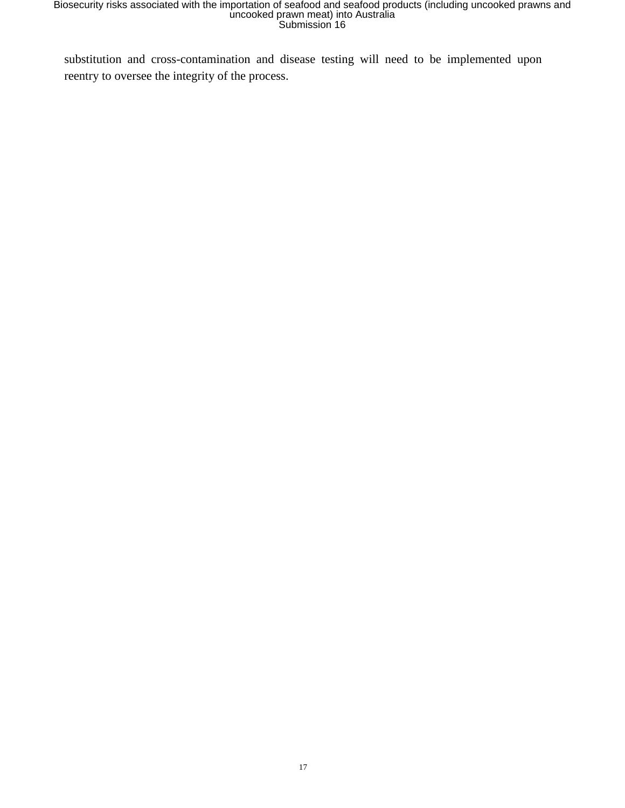substitution and cross-contamination and disease testing will need to be implemented upon reentry to oversee the integrity of the process.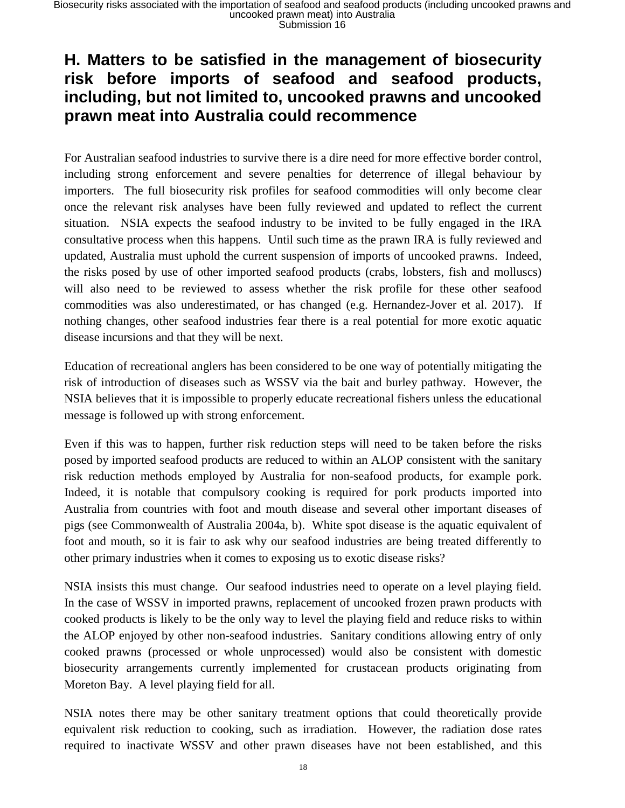### **H. Matters to be satisfied in the management of biosecurity risk before imports of seafood and seafood products, including, but not limited to, uncooked prawns and uncooked prawn meat into Australia could recommence**

For Australian seafood industries to survive there is a dire need for more effective border control, including strong enforcement and severe penalties for deterrence of illegal behaviour by importers. The full biosecurity risk profiles for seafood commodities will only become clear once the relevant risk analyses have been fully reviewed and updated to reflect the current situation. NSIA expects the seafood industry to be invited to be fully engaged in the IRA consultative process when this happens. Until such time as the prawn IRA is fully reviewed and updated, Australia must uphold the current suspension of imports of uncooked prawns. Indeed, the risks posed by use of other imported seafood products (crabs, lobsters, fish and molluscs) will also need to be reviewed to assess whether the risk profile for these other seafood commodities was also underestimated, or has changed (e.g. Hernandez-Jover et al. 2017). If nothing changes, other seafood industries fear there is a real potential for more exotic aquatic disease incursions and that they will be next.

Education of recreational anglers has been considered to be one way of potentially mitigating the risk of introduction of diseases such as WSSV via the bait and burley pathway. However, the NSIA believes that it is impossible to properly educate recreational fishers unless the educational message is followed up with strong enforcement.

Even if this was to happen, further risk reduction steps will need to be taken before the risks posed by imported seafood products are reduced to within an ALOP consistent with the sanitary risk reduction methods employed by Australia for non-seafood products, for example pork. Indeed, it is notable that compulsory cooking is required for pork products imported into Australia from countries with foot and mouth disease and several other important diseases of pigs (see Commonwealth of Australia 2004a, b). White spot disease is the aquatic equivalent of foot and mouth, so it is fair to ask why our seafood industries are being treated differently to other primary industries when it comes to exposing us to exotic disease risks?

NSIA insists this must change. Our seafood industries need to operate on a level playing field. In the case of WSSV in imported prawns, replacement of uncooked frozen prawn products with cooked products is likely to be the only way to level the playing field and reduce risks to within the ALOP enjoyed by other non-seafood industries. Sanitary conditions allowing entry of only cooked prawns (processed or whole unprocessed) would also be consistent with domestic biosecurity arrangements currently implemented for crustacean products originating from Moreton Bay. A level playing field for all.

NSIA notes there may be other sanitary treatment options that could theoretically provide equivalent risk reduction to cooking, such as irradiation. However, the radiation dose rates required to inactivate WSSV and other prawn diseases have not been established, and this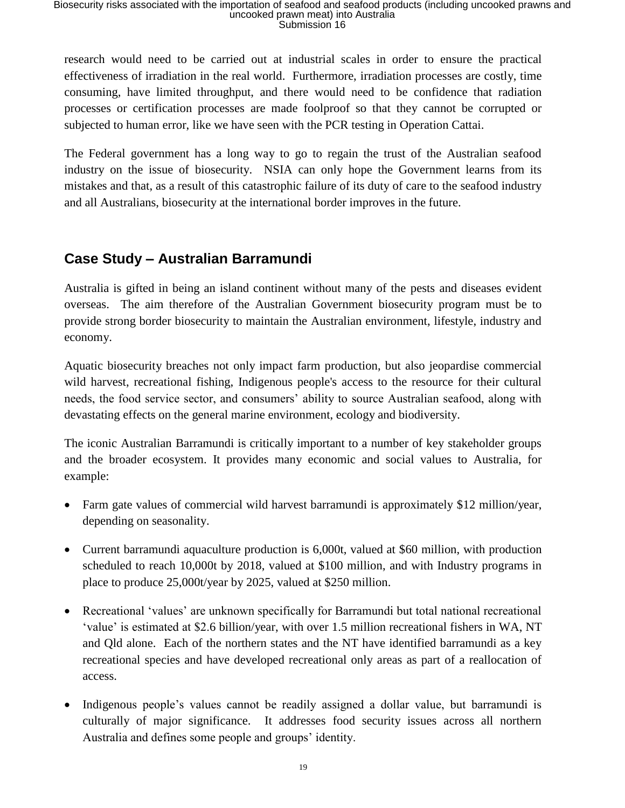research would need to be carried out at industrial scales in order to ensure the practical effectiveness of irradiation in the real world. Furthermore, irradiation processes are costly, time consuming, have limited throughput, and there would need to be confidence that radiation processes or certification processes are made foolproof so that they cannot be corrupted or subjected to human error, like we have seen with the PCR testing in Operation Cattai.

The Federal government has a long way to go to regain the trust of the Australian seafood industry on the issue of biosecurity. NSIA can only hope the Government learns from its mistakes and that, as a result of this catastrophic failure of its duty of care to the seafood industry and all Australians, biosecurity at the international border improves in the future.

#### **Case Study – Australian Barramundi**

Australia is gifted in being an island continent without many of the pests and diseases evident overseas. The aim therefore of the Australian Government biosecurity program must be to provide strong border biosecurity to maintain the Australian environment, lifestyle, industry and economy.

Aquatic biosecurity breaches not only impact farm production, but also jeopardise commercial wild harvest, recreational fishing, Indigenous people's access to the resource for their cultural needs, the food service sector, and consumers' ability to source Australian seafood, along with devastating effects on the general marine environment, ecology and biodiversity.

The iconic Australian Barramundi is critically important to a number of key stakeholder groups and the broader ecosystem. It provides many economic and social values to Australia, for example:

- Farm gate values of commercial wild harvest barramundi is approximately \$12 million/year, depending on seasonality.
- Current barramundi aquaculture production is 6,000t, valued at \$60 million, with production scheduled to reach 10,000t by 2018, valued at \$100 million, and with Industry programs in place to produce 25,000t/year by 2025, valued at \$250 million.
- Recreational 'values' are unknown specifically for Barramundi but total national recreational 'value' is estimated at \$2.6 billion/year, with over 1.5 million recreational fishers in WA, NT and Qld alone. Each of the northern states and the NT have identified barramundi as a key recreational species and have developed recreational only areas as part of a reallocation of access.
- Indigenous people's values cannot be readily assigned a dollar value, but barramundi is culturally of major significance. It addresses food security issues across all northern Australia and defines some people and groups' identity.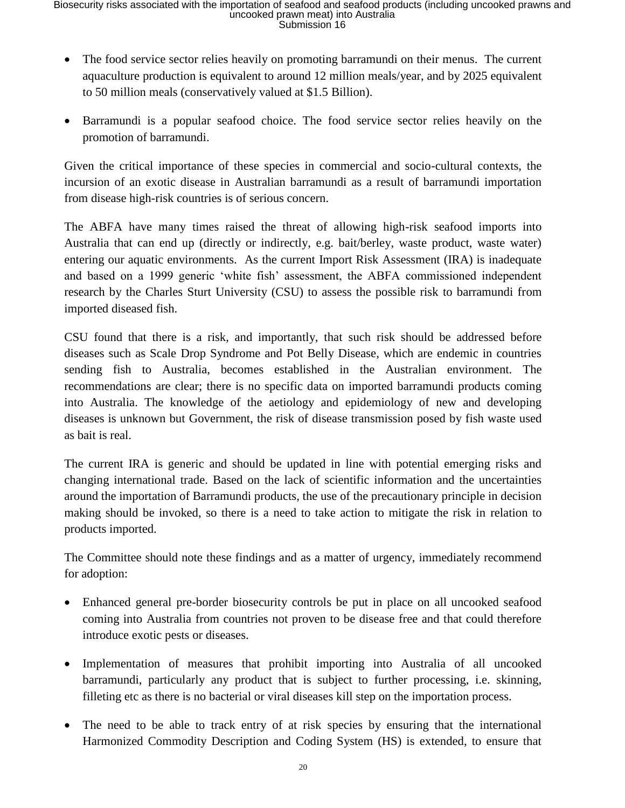- The food service sector relies heavily on promoting barramundi on their menus. The current aquaculture production is equivalent to around 12 million meals/year, and by 2025 equivalent to 50 million meals (conservatively valued at \$1.5 Billion).
- Barramundi is a popular seafood choice. The food service sector relies heavily on the promotion of barramundi.

Given the critical importance of these species in commercial and socio-cultural contexts, the incursion of an exotic disease in Australian barramundi as a result of barramundi importation from disease high-risk countries is of serious concern.

The ABFA have many times raised the threat of allowing high-risk seafood imports into Australia that can end up (directly or indirectly, e.g. bait/berley, waste product, waste water) entering our aquatic environments. As the current Import Risk Assessment (IRA) is inadequate and based on a 1999 generic 'white fish' assessment, the ABFA commissioned independent research by the Charles Sturt University (CSU) to assess the possible risk to barramundi from imported diseased fish.

CSU found that there is a risk, and importantly, that such risk should be addressed before diseases such as Scale Drop Syndrome and Pot Belly Disease, which are endemic in countries sending fish to Australia, becomes established in the Australian environment. The recommendations are clear; there is no specific data on imported barramundi products coming into Australia. The knowledge of the aetiology and epidemiology of new and developing diseases is unknown but Government, the risk of disease transmission posed by fish waste used as bait is real.

The current IRA is generic and should be updated in line with potential emerging risks and changing international trade. Based on the lack of scientific information and the uncertainties around the importation of Barramundi products, the use of the precautionary principle in decision making should be invoked, so there is a need to take action to mitigate the risk in relation to products imported.

The Committee should note these findings and as a matter of urgency, immediately recommend for adoption:

- Enhanced general pre-border biosecurity controls be put in place on all uncooked seafood coming into Australia from countries not proven to be disease free and that could therefore introduce exotic pests or diseases.
- Implementation of measures that prohibit importing into Australia of all uncooked barramundi, particularly any product that is subject to further processing, i.e. skinning, filleting etc as there is no bacterial or viral diseases kill step on the importation process.
- The need to be able to track entry of at risk species by ensuring that the international Harmonized Commodity Description and Coding System (HS) is extended, to ensure that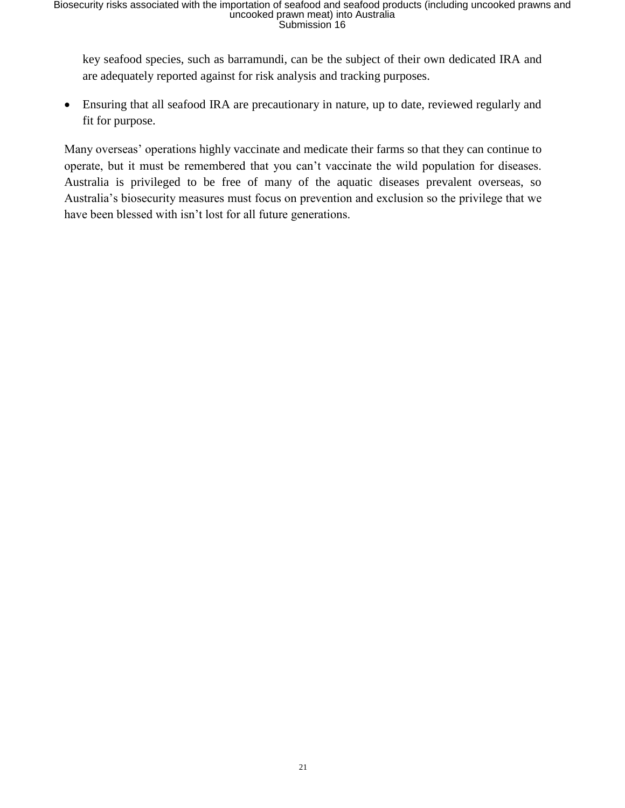key seafood species, such as barramundi, can be the subject of their own dedicated IRA and are adequately reported against for risk analysis and tracking purposes.

• Ensuring that all seafood IRA are precautionary in nature, up to date, reviewed regularly and fit for purpose.

Many overseas' operations highly vaccinate and medicate their farms so that they can continue to operate, but it must be remembered that you can't vaccinate the wild population for diseases. Australia is privileged to be free of many of the aquatic diseases prevalent overseas, so Australia's biosecurity measures must focus on prevention and exclusion so the privilege that we have been blessed with isn't lost for all future generations.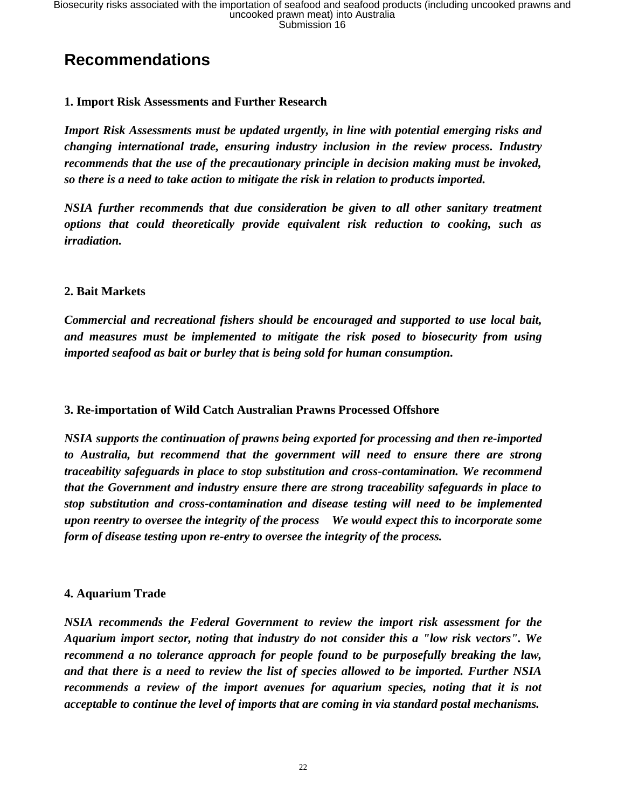## **Recommendations**

#### **1. Import Risk Assessments and Further Research**

*Import Risk Assessments must be updated urgently, in line with potential emerging risks and changing international trade, ensuring industry inclusion in the review process. Industry recommends that the use of the precautionary principle in decision making must be invoked, so there is a need to take action to mitigate the risk in relation to products imported.*

*NSIA further recommends that due consideration be given to all other sanitary treatment options that could theoretically provide equivalent risk reduction to cooking, such as irradiation.*

#### **2. Bait Markets**

*Commercial and recreational fishers should be encouraged and supported to use local bait, and measures must be implemented to mitigate the risk posed to biosecurity from using imported seafood as bait or burley that is being sold for human consumption.* 

#### **3. Re-importation of Wild Catch Australian Prawns Processed Offshore**

*NSIA supports the continuation of prawns being exported for processing and then re-imported to Australia, but recommend that the government will need to ensure there are strong traceability safeguards in place to stop substitution and cross-contamination. We recommend that the Government and industry ensure there are strong traceability safeguards in place to stop substitution and cross-contamination and disease testing will need to be implemented upon reentry to oversee the integrity of the process We would expect this to incorporate some form of disease testing upon re-entry to oversee the integrity of the process.*

#### **4. Aquarium Trade**

*NSIA recommends the Federal Government to review the import risk assessment for the Aquarium import sector, noting that industry do not consider this a "low risk vectors". We recommend a no tolerance approach for people found to be purposefully breaking the law, and that there is a need to review the list of species allowed to be imported. Further NSIA recommends a review of the import avenues for aquarium species, noting that it is not acceptable to continue the level of imports that are coming in via standard postal mechanisms.*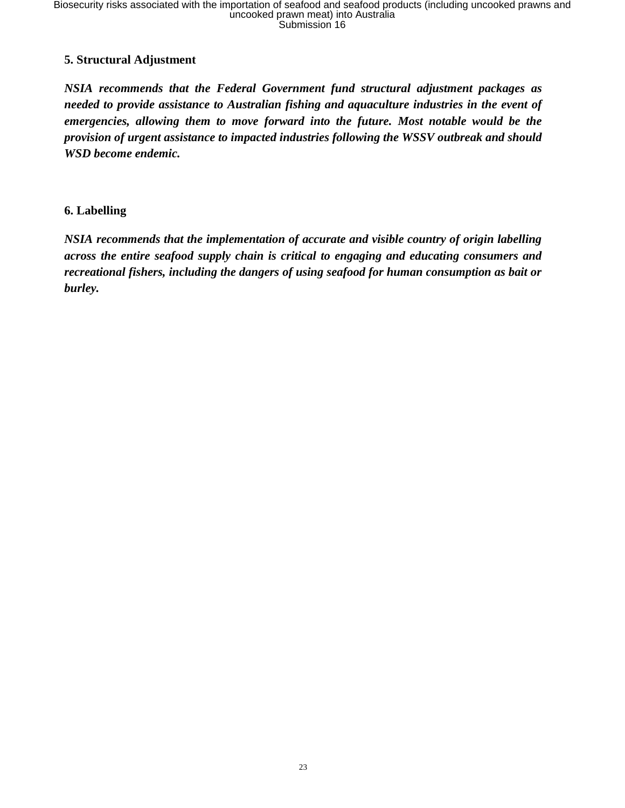#### **5. Structural Adjustment**

*NSIA recommends that the Federal Government fund structural adjustment packages as needed to provide assistance to Australian fishing and aquaculture industries in the event of emergencies, allowing them to move forward into the future. Most notable would be the provision of urgent assistance to impacted industries following the WSSV outbreak and should WSD become endemic.*

#### **6. Labelling**

*NSIA recommends that the implementation of accurate and visible country of origin labelling across the entire seafood supply chain is critical to engaging and educating consumers and recreational fishers, including the dangers of using seafood for human consumption as bait or burley.*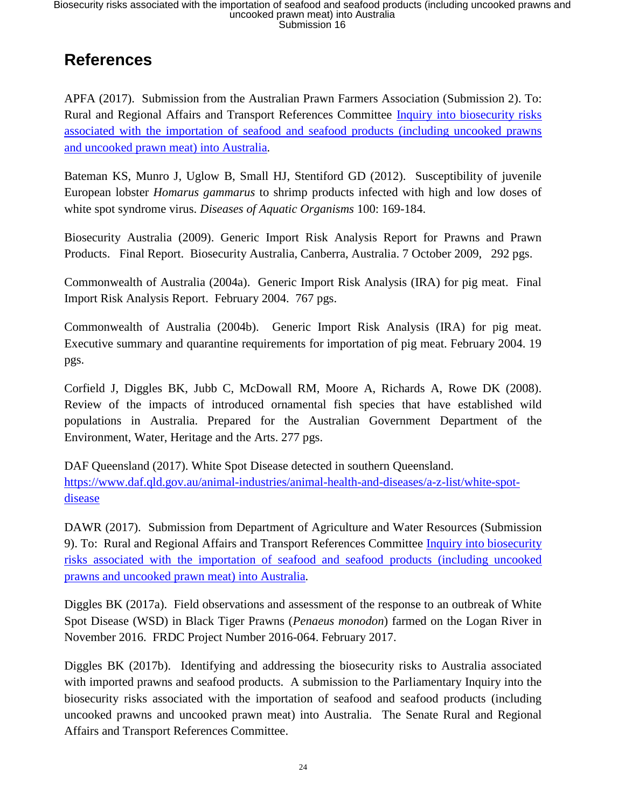## **References**

APFA (2017). Submission from the Australian Prawn Farmers Association (Submission 2). To: Rural and Regional Affairs and Transport References Committee [Inquiry into biosecurity risks](http://www.aph.gov.au/DocumentStore.ashx?id=598a5d5f-1045-4d85-955f-abc5cd96c87b&subId=510282)  [associated with the importation of seafood and seafood products \(including uncooked prawns](http://www.aph.gov.au/DocumentStore.ashx?id=598a5d5f-1045-4d85-955f-abc5cd96c87b&subId=510282)  [and uncooked prawn meat\) into Australia](http://www.aph.gov.au/DocumentStore.ashx?id=598a5d5f-1045-4d85-955f-abc5cd96c87b&subId=510282)*.*

Bateman KS, Munro J, Uglow B, Small HJ, Stentiford GD (2012). Susceptibility of juvenile European lobster *Homarus gammarus* to shrimp products infected with high and low doses of white spot syndrome virus. *Diseases of Aquatic Organisms* 100: 169-184.

Biosecurity Australia (2009). Generic Import Risk Analysis Report for Prawns and Prawn Products. Final Report. Biosecurity Australia, Canberra, Australia. 7 October 2009, 292 pgs.

Commonwealth of Australia (2004a). Generic Import Risk Analysis (IRA) for pig meat. Final Import Risk Analysis Report. February 2004. 767 pgs.

Commonwealth of Australia (2004b). Generic Import Risk Analysis (IRA) for pig meat. Executive summary and quarantine requirements for importation of pig meat. February 2004. 19 pgs.

Corfield J, Diggles BK, Jubb C, McDowall RM, Moore A, Richards A, Rowe DK (2008). Review of the impacts of introduced ornamental fish species that have established wild populations in Australia. Prepared for the Australian Government Department of the Environment, Water, Heritage and the Arts. 277 pgs.

DAF Queensland (2017). White Spot Disease detected in southern Queensland. [https://www.daf.qld.gov.au/animal-industries/animal-health-and-diseases/a-z-list/white-spot](https://www.daf.qld.gov.au/animal-industries/animal-health-and-diseases/a-z-list/white-spot-disease)[disease](https://www.daf.qld.gov.au/animal-industries/animal-health-and-diseases/a-z-list/white-spot-disease)

DAWR (2017). Submission from Department of Agriculture and Water Resources (Submission 9). To: Rural and Regional Affairs and Transport References Committee [Inquiry into biosecurity](http://www.aph.gov.au/DocumentStore.ashx?id=480de16b-fff7-4841-b631-f33a3048d614&subId=510358)  [risks associated with the importation of seafood and seafood](http://www.aph.gov.au/DocumentStore.ashx?id=480de16b-fff7-4841-b631-f33a3048d614&subId=510358) products (including uncooked [prawns and uncooked prawn meat\) into Australia](http://www.aph.gov.au/DocumentStore.ashx?id=480de16b-fff7-4841-b631-f33a3048d614&subId=510358)*.*

Diggles BK (2017a). Field observations and assessment of the response to an outbreak of White Spot Disease (WSD) in Black Tiger Prawns (*Penaeus monodon*) farmed on the Logan River in November 2016. FRDC Project Number 2016-064. February 2017.

Diggles BK (2017b). Identifying and addressing the biosecurity risks to Australia associated with imported prawns and seafood products. A submission to the Parliamentary Inquiry into the biosecurity risks associated with the importation of seafood and seafood products (including uncooked prawns and uncooked prawn meat) into Australia. The Senate Rural and Regional Affairs and Transport References Committee.